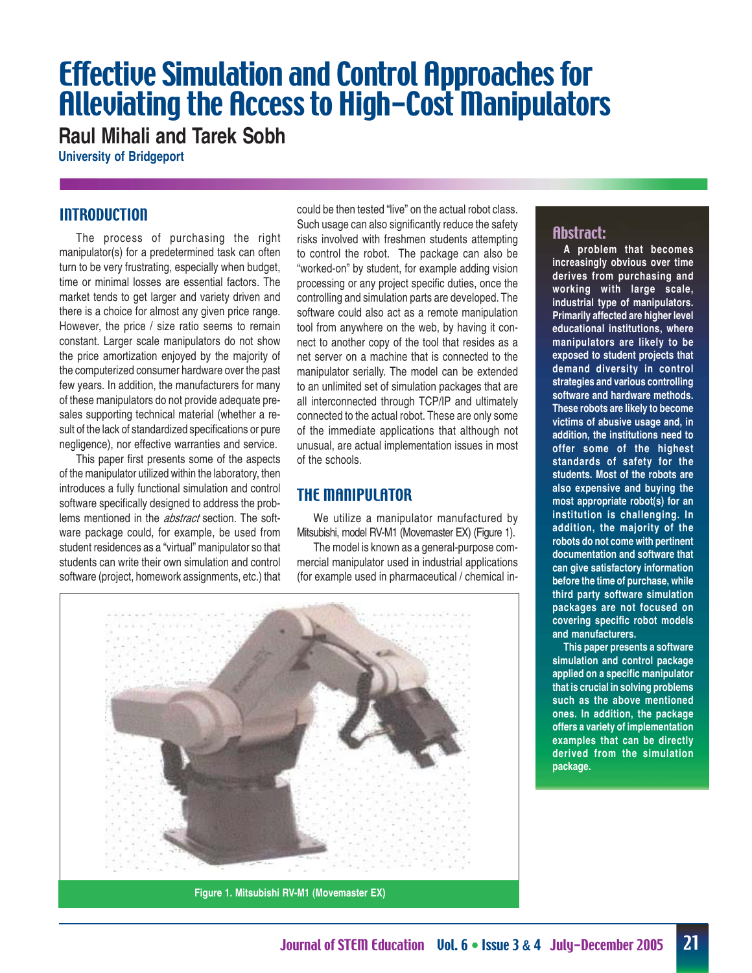# Effective Simulation and Control Approaches for Alleviating the Access to High-Cost Manipulators

**Raul Mihali and Tarek Sobh**

**University of Bridgeport**

# **INTRODUCTION**

The process of purchasing the right manipulator(s) for a predetermined task can often turn to be very frustrating, especially when budget, time or minimal losses are essential factors. The market tends to get larger and variety driven and there is a choice for almost any given price range. However, the price / size ratio seems to remain constant. Larger scale manipulators do not show the price amortization enjoyed by the majority of the computerized consumer hardware over the past few years. In addition, the manufacturers for many of these manipulators do not provide adequate presales supporting technical material (whether a result of the lack of standardized specifications or pure negligence), nor effective warranties and service.

This paper first presents some of the aspects of the manipulator utilized within the laboratory, then introduces a fully functional simulation and control software specifically designed to address the problems mentioned in the *abstract* section. The software package could, for example, be used from student residences as a "virtual" manipulator so that students can write their own simulation and control software (project, homework assignments, etc.) that could be then tested "live" on the actual robot class. Such usage can also significantly reduce the safety risks involved with freshmen students attempting to control the robot. The package can also be "worked-on" by student, for example adding vision processing or any project specific duties, once the controlling and simulation parts are developed. The software could also act as a remote manipulation tool from anywhere on the web, by having it connect to another copy of the tool that resides as a net server on a machine that is connected to the manipulator serially. The model can be extended to an unlimited set of simulation packages that are all interconnected through TCP/IP and ultimately connected to the actual robot. These are only some of the immediate applications that although not unusual, are actual implementation issues in most of the schools.

# THE MANIPULATOR

We utilize a manipulator manufactured by Mitsubishi, model RV-M1 (Movemaster EX) (Figure 1).

The model is known as a general-purpose commercial manipulator used in industrial applications (for example used in pharmaceutical / chemical in-



**Figure 1. Mitsubishi RV-M1 (Movemaster EX)**

# Abstract:

**A problem that becomes increasingly obvious over time derives from purchasing and working with large scale, industrial type of manipulators. Primarily affected are higher level educational institutions, where manipulators are likely to be exposed to student projects that demand diversity in control strategies and various controlling software and hardware methods. These robots are likely to become victims of abusive usage and, in addition, the institutions need to offer some of the highest standards of safety for the students. Most of the robots are also expensive and buying the most appropriate robot(s) for an institution is challenging. In addition, the majority of the robots do not come with pertinent documentation and software that can give satisfactory information before the time of purchase, while third party software simulation packages are not focused on covering specific robot models and manufacturers.**

**This paper presents a software simulation and control package applied on a specific manipulator that is crucial in solving problems such as the above mentioned ones. In addition, the package offers a variety of implementation examples that can be directly derived from the simulation package.**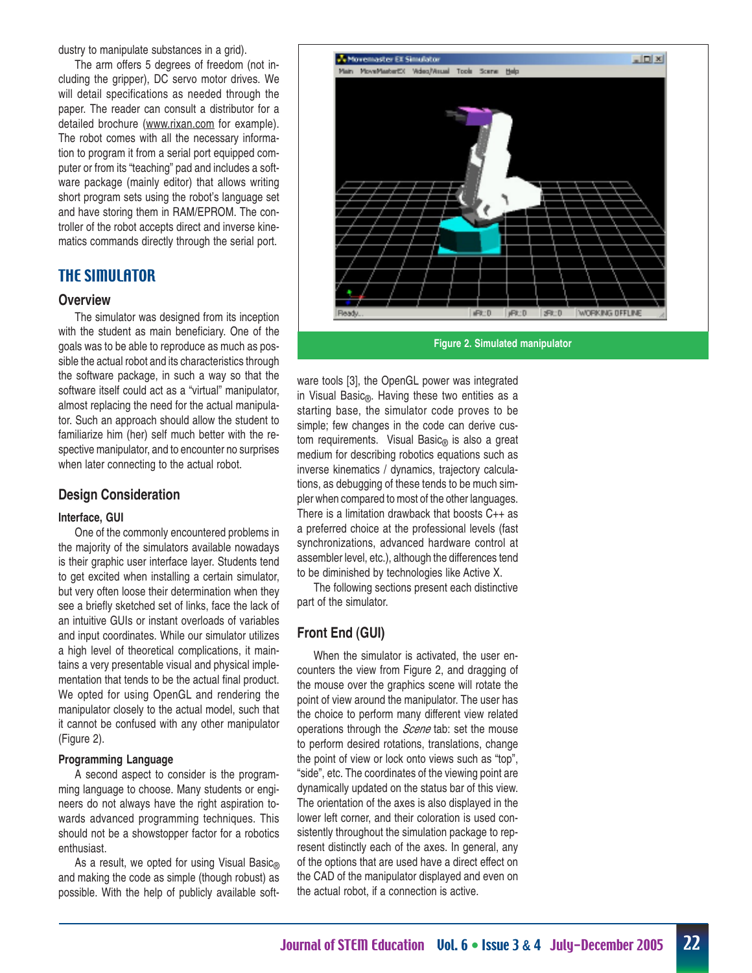dustry to manipulate substances in a grid).

The arm offers 5 degrees of freedom (not including the gripper), DC servo motor drives. We will detail specifications as needed through the paper. The reader can consult a distributor for a detailed brochure (www.rixan.com for example). The robot comes with all the necessary information to program it from a serial port equipped computer or from its "teaching" pad and includes a software package (mainly editor) that allows writing short program sets using the robot's language set and have storing them in RAM/EPROM. The controller of the robot accepts direct and inverse kinematics commands directly through the serial port.

# THE SIMULATOR

#### **Overview**

The simulator was designed from its inception with the student as main beneficiary. One of the goals was to be able to reproduce as much as possible the actual robot and its characteristics through the software package, in such a way so that the software itself could act as a "virtual" manipulator, almost replacing the need for the actual manipulator. Such an approach should allow the student to familiarize him (her) self much better with the respective manipulator, and to encounter no surprises when later connecting to the actual robot.

#### **Design Consideration**

#### **Interface, GUI**

One of the commonly encountered problems in the majority of the simulators available nowadays is their graphic user interface layer. Students tend to get excited when installing a certain simulator, but very often loose their determination when they see a briefly sketched set of links, face the lack of an intuitive GUIs or instant overloads of variables and input coordinates. While our simulator utilizes a high level of theoretical complications, it maintains a very presentable visual and physical implementation that tends to be the actual final product. We opted for using OpenGL and rendering the manipulator closely to the actual model, such that it cannot be confused with any other manipulator (Figure 2).

#### **Programming Language**

A second aspect to consider is the programming language to choose. Many students or engineers do not always have the right aspiration towards advanced programming techniques. This should not be a showstopper factor for a robotics enthusiast.

As a result, we opted for using Visual Basic® and making the code as simple (though robust) as possible. With the help of publicly available soft-



**Figure 2. Simulated manipulator**

ware tools [3], the OpenGL power was integrated in Visual Basic®. Having these two entities as a starting base, the simulator code proves to be simple; few changes in the code can derive custom requirements. Visual Basic $<sub>®</sub>$  is also a great</sub> medium for describing robotics equations such as inverse kinematics / dynamics, trajectory calculations, as debugging of these tends to be much simpler when compared to most of the other languages. There is a limitation drawback that boosts C++ as a preferred choice at the professional levels (fast synchronizations, advanced hardware control at assembler level, etc.), although the differences tend to be diminished by technologies like Active X.

The following sections present each distinctive part of the simulator.

## **Front End (GUI)**

When the simulator is activated, the user encounters the view from Figure 2, and dragging of the mouse over the graphics scene will rotate the point of view around the manipulator. The user has the choice to perform many different view related operations through the *Scene* tab: set the mouse to perform desired rotations, translations, change the point of view or lock onto views such as "top", "side", etc. The coordinates of the viewing point are dynamically updated on the status bar of this view. The orientation of the axes is also displayed in the lower left corner, and their coloration is used consistently throughout the simulation package to represent distinctly each of the axes. In general, any of the options that are used have a direct effect on the CAD of the manipulator displayed and even on the actual robot, if a connection is active.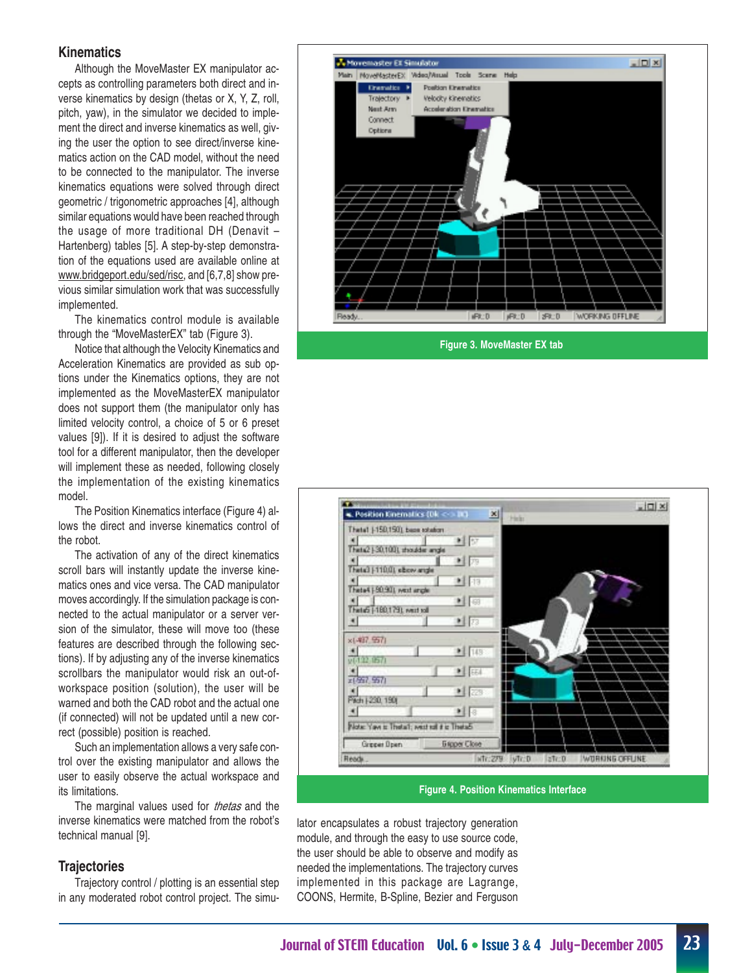#### **Kinematics**

Although the MoveMaster EX manipulator accepts as controlling parameters both direct and inverse kinematics by design (thetas or X, Y, Z, roll, pitch, yaw), in the simulator we decided to implement the direct and inverse kinematics as well, giving the user the option to see direct/inverse kinematics action on the CAD model, without the need to be connected to the manipulator. The inverse kinematics equations were solved through direct geometric / trigonometric approaches [4], although similar equations would have been reached through the usage of more traditional DH (Denavit – Hartenberg) tables [5]. A step-by-step demonstration of the equations used are available online at www.bridgeport.edu/sed/risc, and [6,7,8] show previous similar simulation work that was successfully implemented.

The kinematics control module is available through the "MoveMasterEX" tab (Figure 3).

Notice that although the Velocity Kinematics and Acceleration Kinematics are provided as sub options under the Kinematics options, they are not implemented as the MoveMasterEX manipulator does not support them (the manipulator only has limited velocity control, a choice of 5 or 6 preset values [9]). If it is desired to adjust the software tool for a different manipulator, then the developer will implement these as needed, following closely the implementation of the existing kinematics model.

The Position Kinematics interface (Figure 4) allows the direct and inverse kinematics control of the robot.

The activation of any of the direct kinematics scroll bars will instantly update the inverse kinematics ones and vice versa. The CAD manipulator moves accordingly. If the simulation package is connected to the actual manipulator or a server version of the simulator, these will move too (these features are described through the following sections). If by adjusting any of the inverse kinematics scrollbars the manipulator would risk an out-ofworkspace position (solution), the user will be warned and both the CAD robot and the actual one (if connected) will not be updated until a new correct (possible) position is reached.

Such an implementation allows a very safe control over the existing manipulator and allows the user to easily observe the actual workspace and its limitations.

The marginal values used for *thetas* and the inverse kinematics were matched from the robot's technical manual [9].

## **Trajectories**

Trajectory control / plotting is an essential step in any moderated robot control project. The simu-



**Figure 3. MoveMaster EX tab**



**Figure 4. Position Kinematics Interface**

lator encapsulates a robust trajectory generation module, and through the easy to use source code, the user should be able to observe and modify as needed the implementations. The trajectory curves implemented in this package are Lagrange, COONS, Hermite, B-Spline, Bezier and Ferguson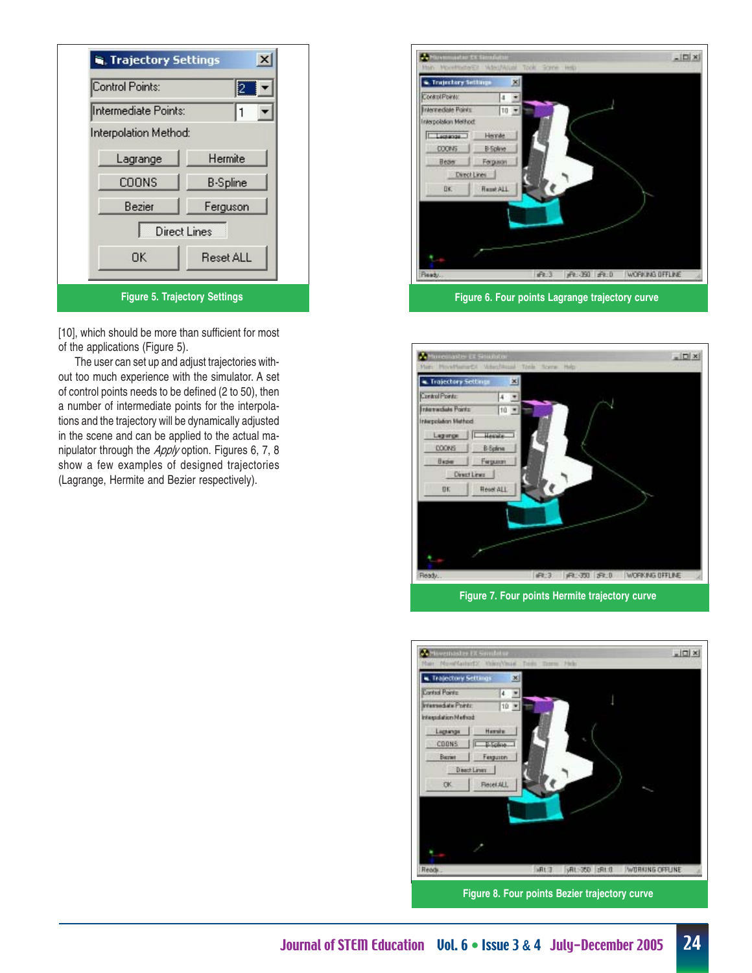

[10], which should be more than sufficient for most of the applications (Figure 5).

The user can set up and adjust trajectories without too much experience with the simulator. A set of control points needs to be defined (2 to 50), then a number of intermediate points for the interpolations and the trajectory will be dynamically adjusted in the scene and can be applied to the actual manipulator through the Apply option. Figures 6, 7, 8 show a few examples of designed trajectories (Lagrange, Hermite and Bezier respectively).





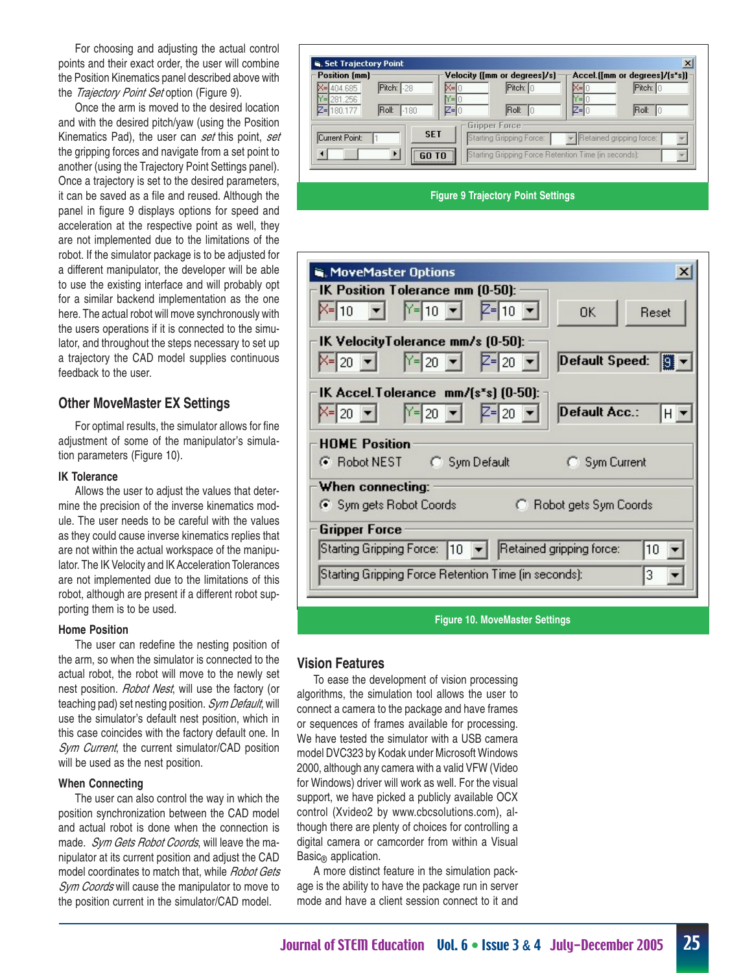For choosing and adjusting the actual control points and their exact order, the user will combine the Position Kinematics panel described above with the Trajectory Point Set option (Figure 9).

Once the arm is moved to the desired location and with the desired pitch/yaw (using the Position Kinematics Pad), the user can set this point, set the gripping forces and navigate from a set point to another (using the Trajectory Point Settings panel). Once a trajectory is set to the desired parameters, it can be saved as a file and reused. Although the panel in figure 9 displays options for speed and acceleration at the respective point as well, they are not implemented due to the limitations of the robot. If the simulator package is to be adjusted for a different manipulator, the developer will be able to use the existing interface and will probably opt for a similar backend implementation as the one here. The actual robot will move synchronously with the users operations if it is connected to the simulator, and throughout the steps necessary to set up a trajectory the CAD model supplies continuous feedback to the user.

## **Other MoveMaster EX Settings**

For optimal results, the simulator allows for fine adjustment of some of the manipulator's simulation parameters (Figure 10).

#### **IK Tolerance**

Allows the user to adjust the values that determine the precision of the inverse kinematics module. The user needs to be careful with the values as they could cause inverse kinematics replies that are not within the actual workspace of the manipulator. The IK Velocity and IK Acceleration Tolerances are not implemented due to the limitations of this robot, although are present if a different robot supporting them is to be used.

#### **Home Position**

The user can redefine the nesting position of the arm, so when the simulator is connected to the actual robot, the robot will move to the newly set nest position. Robot Nest, will use the factory (or teaching pad) set nesting position. Sym Default, will use the simulator's default nest position, which in this case coincides with the factory default one. In Sym Current, the current simulator/CAD position will be used as the nest position.

#### **When Connecting**

The user can also control the way in which the position synchronization between the CAD model and actual robot is done when the connection is made. Sym Gets Robot Coords, will leave the manipulator at its current position and adjust the CAD model coordinates to match that, while Robot Gets Sym Coords will cause the manipulator to move to the position current in the simulator/CAD model.

| <b>Position [mm]</b>         |                  |     | Velocity ([mm or degrees]/s]                         |      | Accel ([mm or degrees]/[s*s]] |  |
|------------------------------|------------------|-----|------------------------------------------------------|------|-------------------------------|--|
| 404.685                      | Pitch: 1-28      |     | Pitch: 10                                            |      | Pitch: C                      |  |
| 281.256                      |                  | Y=I |                                                      | E    |                               |  |
| 7∍I<br>180,177               | IRoll:<br>$-180$ | ′=l | IRoll:<br>IΠ                                         | ′≡lí | Roll:<br>I٢                   |  |
|                              |                  |     | Gripper Force:                                       |      |                               |  |
| <b>SET</b><br>Current Point: |                  |     | Starting Gripping Force:                             |      | Retained gripping force:      |  |
|                              | ы                |     | Starting Gripping Force Retention Time (in seconds): |      |                               |  |

#### **Figure 9 Trajectory Point Settings**

| $\boldsymbol{\mathsf{x}}$<br><b>NoveMaster Options</b>                                                                        |
|-------------------------------------------------------------------------------------------------------------------------------|
| IK Position Tolerance mm (0-50):                                                                                              |
| $\mathbf{r}$ $\mathbf{Y} = 10$ $\mathbf{v}$ $\mathbf{Z} = 10$ $\mathbf{v}$<br>K= 10<br>OK.<br>Reset                           |
| IK VelocityTolerance mm/s (0-50):                                                                                             |
| Default Speed:<br>$Y = 20$ $\blacktriangleright$<br>$Z = 20$ $\blacktriangleright$<br>$X = 20$ $\blacktriangleright$<br>19.   |
| IK Accel. Tolerance mm/(s*s) (0-50):                                                                                          |
| $\vert$ 20 $\vert \mathbf{v} \vert$<br>$Z = 20$ $\blacktriangleright$<br>Default Acc.:<br>$X = 20$ $\blacktriangleright$<br>H |
| <b>HOME Position</b>                                                                                                          |
| C Robot NEST C Sym Default<br>C Sym Current                                                                                   |
| When connecting:                                                                                                              |
| Sym gets Robot Coords<br>C Robot gets Sym Coords                                                                              |
| <b>Gripper Force</b>                                                                                                          |
| Retained gripping force:<br>Starting Gripping Force:  10  <br>10                                                              |
| Starting Gripping Force Retention Time (in seconds):<br>3                                                                     |
|                                                                                                                               |
| <b>Figure 10. MoveMaster Settings</b>                                                                                         |

## **Vision Features**

To ease the development of vision processing algorithms, the simulation tool allows the user to connect a camera to the package and have frames or sequences of frames available for processing. We have tested the simulator with a USB camera model DVC323 by Kodak under Microsoft Windows 2000, although any camera with a valid VFW (Video for Windows) driver will work as well. For the visual support, we have picked a publicly available OCX control (Xvideo2 by www.cbcsolutions.com), although there are plenty of choices for controlling a digital camera or camcorder from within a Visual Basic<sup>®</sup> application.

A more distinct feature in the simulation package is the ability to have the package run in server mode and have a client session connect to it and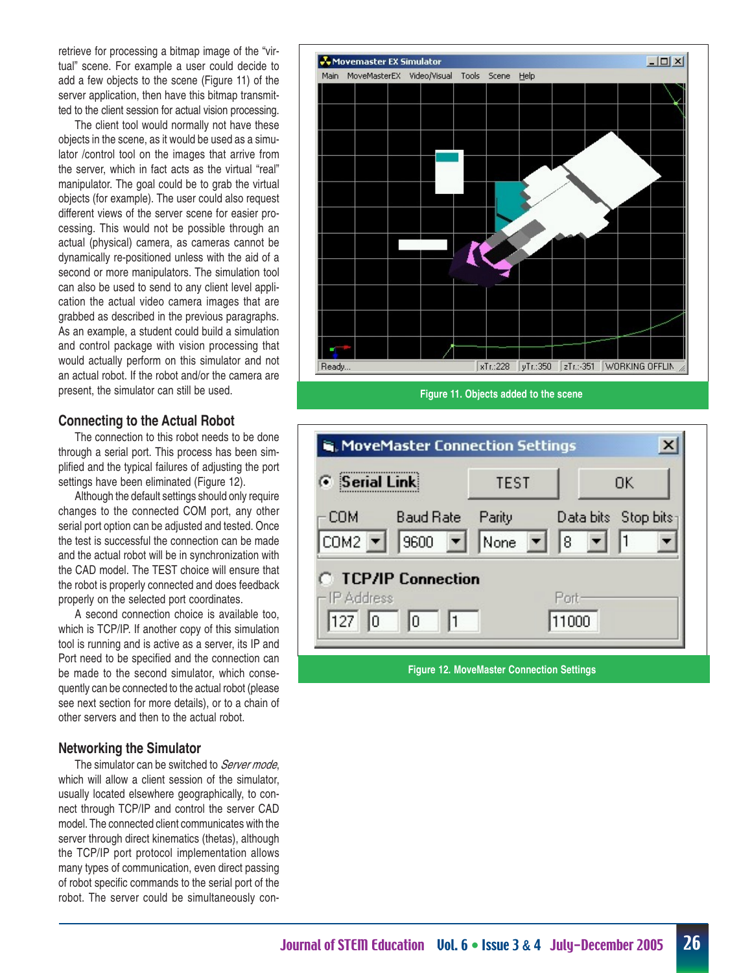retrieve for processing a bitmap image of the "virtual" scene. For example a user could decide to add a few objects to the scene (Figure 11) of the server application, then have this bitmap transmitted to the client session for actual vision processing.

The client tool would normally not have these objects in the scene, as it would be used as a simulator /control tool on the images that arrive from the server, which in fact acts as the virtual "real" manipulator. The goal could be to grab the virtual objects (for example). The user could also request different views of the server scene for easier processing. This would not be possible through an actual (physical) camera, as cameras cannot be dynamically re-positioned unless with the aid of a second or more manipulators. The simulation tool can also be used to send to any client level application the actual video camera images that are grabbed as described in the previous paragraphs. As an example, a student could build a simulation and control package with vision processing that would actually perform on this simulator and not an actual robot. If the robot and/or the camera are present, the simulator can still be used.

## **Connecting to the Actual Robot**

The connection to this robot needs to be done through a serial port. This process has been simplified and the typical failures of adjusting the port settings have been eliminated (Figure 12).

Although the default settings should only require changes to the connected COM port, any other serial port option can be adjusted and tested. Once the test is successful the connection can be made and the actual robot will be in synchronization with the CAD model. The TEST choice will ensure that the robot is properly connected and does feedback properly on the selected port coordinates.

A second connection choice is available too, which is TCP/IP. If another copy of this simulation tool is running and is active as a server, its IP and Port need to be specified and the connection can be made to the second simulator, which consequently can be connected to the actual robot (please see next section for more details), or to a chain of other servers and then to the actual robot.

## **Networking the Simulator**

The simulator can be switched to Server mode, which will allow a client session of the simulator, usually located elsewhere geographically, to connect through TCP/IP and control the server CAD model. The connected client communicates with the server through direct kinematics (thetas), although the TCP/IP port protocol implementation allows many types of communication, even direct passing of robot specific commands to the serial port of the robot. The server could be simultaneously con-



**Figure 11. Objects added to the scene**

| <b>6</b> Serial Link                                                                                                                | <b>TEST</b> | OΚ                               |  |
|-------------------------------------------------------------------------------------------------------------------------------------|-------------|----------------------------------|--|
| COM:<br>Baud Rate<br>COM2 $\blacktriangleright$ 9600 $\blacktriangleright$ None $\blacktriangleright$ 8<br><b>TCP/IP Connection</b> | Parity      | Data bits Stop bits <sub>1</sub> |  |
| P Address<br>127<br> 0 <br>10.<br>$\vert$ 11                                                                                        |             | Port-<br>11000                   |  |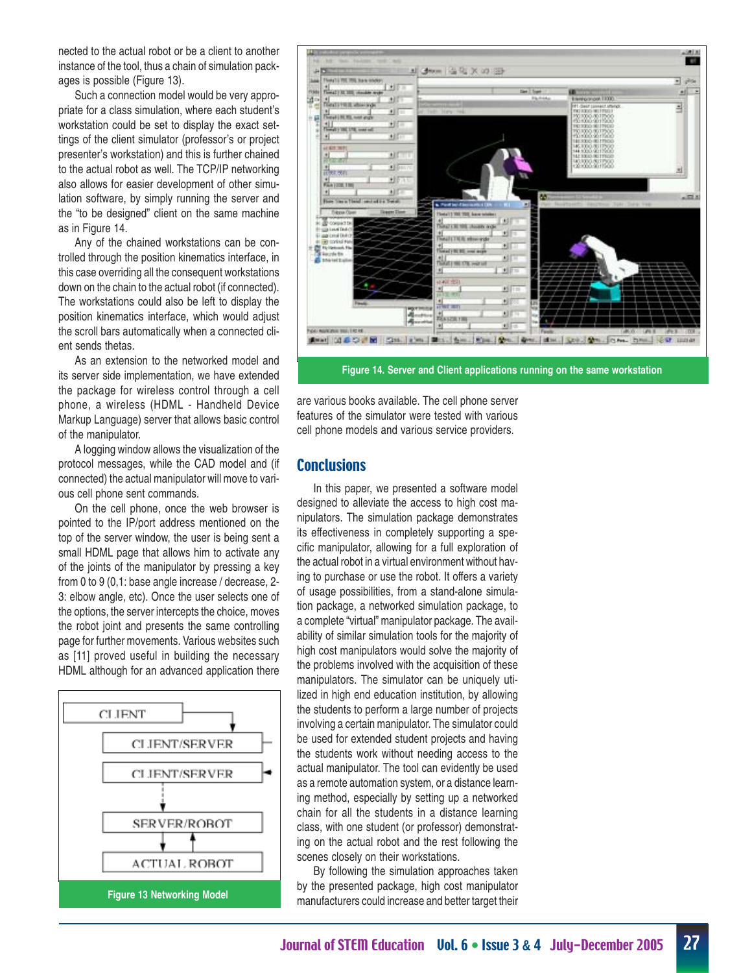nected to the actual robot or be a client to another instance of the tool, thus a chain of simulation packages is possible (Figure 13).

Such a connection model would be very appropriate for a class simulation, where each student's workstation could be set to display the exact settings of the client simulator (professor's or project presenter's workstation) and this is further chained to the actual robot as well. The TCP/IP networking also allows for easier development of other simulation software, by simply running the server and the "to be designed" client on the same machine as in Figure 14.

Any of the chained workstations can be controlled through the position kinematics interface, in this case overriding all the consequent workstations down on the chain to the actual robot (if connected). The workstations could also be left to display the position kinematics interface, which would adjust the scroll bars automatically when a connected client sends thetas.

As an extension to the networked model and its server side implementation, we have extended the package for wireless control through a cell phone, a wireless (HDML - Handheld Device Markup Language) server that allows basic control of the manipulator.

A logging window allows the visualization of the protocol messages, while the CAD model and (if connected) the actual manipulator will move to various cell phone sent commands.

On the cell phone, once the web browser is pointed to the IP/port address mentioned on the top of the server window, the user is being sent a small HDML page that allows him to activate any of the joints of the manipulator by pressing a key from 0 to 9 (0,1: base angle increase / decrease, 2- 3: elbow angle, etc). Once the user selects one of the options, the server intercepts the choice, moves the robot joint and presents the same controlling page for further movements. Various websites such as [11] proved useful in building the necessary HDML although for an advanced application there





**Figure 14. Server and Client applications running on the same workstation**

are various books available. The cell phone server features of the simulator were tested with various cell phone models and various service providers.

## **Conclusions**

In this paper, we presented a software model designed to alleviate the access to high cost manipulators. The simulation package demonstrates its effectiveness in completely supporting a specific manipulator, allowing for a full exploration of the actual robot in a virtual environment without having to purchase or use the robot. It offers a variety of usage possibilities, from a stand-alone simulation package, a networked simulation package, to a complete "virtual" manipulator package. The availability of similar simulation tools for the majority of high cost manipulators would solve the majority of the problems involved with the acquisition of these manipulators. The simulator can be uniquely utilized in high end education institution, by allowing the students to perform a large number of projects involving a certain manipulator. The simulator could be used for extended student projects and having the students work without needing access to the actual manipulator. The tool can evidently be used as a remote automation system, or a distance learning method, especially by setting up a networked chain for all the students in a distance learning class, with one student (or professor) demonstrating on the actual robot and the rest following the scenes closely on their workstations.

By following the simulation approaches taken by the presented package, high cost manipulator manufacturers could increase and better target their